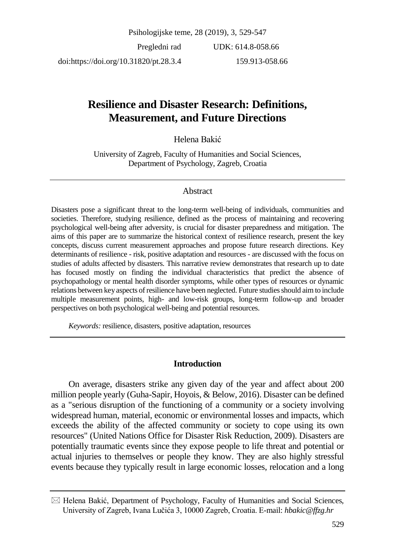Psihologijske teme, 28 (2019), 3, 529-547

Pregledni rad doi:https://doi.org/10.31820/pt.28.3.4 UDK: 614.8-058.66 159.913-058.66

# **Resilience and Disaster Research: Definitions, Measurement, and Future Directions**

### Helena Bakić

University of Zagreb, Faculty of Humanities and Social Sciences, Department of Psychology, Zagreb, Croatia

#### Abstract

Disasters pose a significant threat to the long-term well-being of individuals, communities and societies. Therefore, studying resilience, defined as the process of maintaining and recovering psychological well-being after adversity, is crucial for disaster preparedness and mitigation. The aims of this paper are to summarize the historical context of resilience research, present the key concepts, discuss current measurement approaches and propose future research directions. Key determinants of resilience - risk, positive adaptation and resources - are discussed with the focus on studies of adults affected by disasters. This narrative review demonstrates that research up to date has focused mostly on finding the individual characteristics that predict the absence of psychopathology or mental health disorder symptoms, while other types of resources or dynamic relations between key aspects of resilience have been neglected. Future studies should aim to include multiple measurement points, high- and low-risk groups, long-term follow-up and broader perspectives on both psychological well-being and potential resources.

*Keywords:* resilience, disasters, positive adaptation, resources

#### **Introduction**

On average, disasters strike any given day of the year and affect about 200 million people yearly (Guha-Sapir, Hoyois, & Below, 2016). Disaster can be defined as a "serious disruption of the functioning of a community or a society involving widespread human, material, economic or environmental losses and impacts, which exceeds the ability of the affected community or society to cope using its own resources" (United Nations Office for Disaster Risk Reduction, 2009). Disasters are potentially traumatic events since they expose people to life threat and potential or actual injuries to themselves or people they know. They are also highly stressful events because they typically result in large economic losses, relocation and a long

 $\boxtimes$  Helena Bakić, Department of Psychology, Faculty of Humanities and Social Sciences, University of Zagreb, Ivana Lučića 3, 10000 Zagreb, Croatia. E-mail: *hbakic@ffzg.hr*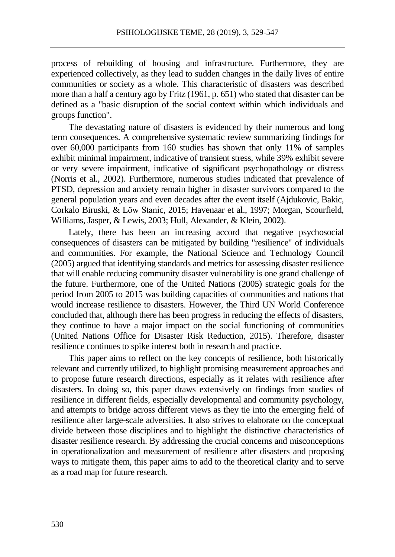process of rebuilding of housing and infrastructure. Furthermore, they are experienced collectively, as they lead to sudden changes in the daily lives of entire communities or society as a whole. This characteristic of disasters was described more than a half a century ago by Fritz (1961, p. 651) who stated that disaster can be defined as a "basic disruption of the social context within which individuals and groups function".

The devastating nature of disasters is evidenced by their numerous and long term consequences. A comprehensive systematic review summarizing findings for over 60,000 participants from 160 studies has shown that only 11% of samples exhibit minimal impairment, indicative of transient stress, while 39% exhibit severe or very severe impairment, indicative of significant psychopathology or distress (Norris et al., 2002). Furthermore, numerous studies indicated that prevalence of PTSD, depression and anxiety remain higher in disaster survivors compared to the general population years and even decades after the event itself (Ajdukovic, Bakic, Corkalo Biruski, & Löw Stanic, 2015; Havenaar et al., 1997; Morgan, Scourfield, Williams, Jasper, & Lewis, 2003; Hull, Alexander, & Klein, 2002).

Lately, there has been an increasing accord that negative psychosocial consequences of disasters can be mitigated by building "resilience" of individuals and communities. For example, the National Science and Technology Council (2005) argued that identifying standards and metrics for assessing disaster resilience that will enable reducing community disaster vulnerability is one grand challenge of the future. Furthermore, one of the United Nations (2005) strategic goals for the period from 2005 to 2015 was building capacities of communities and nations that would increase resilience to disasters. However, the Third UN World Conference concluded that, although there has been progress in reducing the effects of disasters, they continue to have a major impact on the social functioning of communities (United Nations Office for Disaster Risk Reduction, 2015). Therefore, disaster resilience continues to spike interest both in research and practice.

This paper aims to reflect on the key concepts of resilience, both historically relevant and currently utilized, to highlight promising measurement approaches and to propose future research directions, especially as it relates with resilience after disasters. In doing so, this paper draws extensively on findings from studies of resilience in different fields, especially developmental and community psychology, and attempts to bridge across different views as they tie into the emerging field of resilience after large-scale adversities. It also strives to elaborate on the conceptual divide between those disciplines and to highlight the distinctive characteristics of disaster resilience research. By addressing the crucial concerns and misconceptions in operationalization and measurement of resilience after disasters and proposing ways to mitigate them, this paper aims to add to the theoretical clarity and to serve as a road map for future research.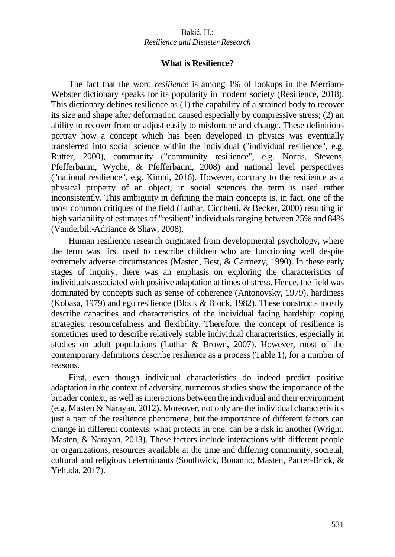### **What is Resilience?**

The fact that the word *resilience* is among 1% of lookups in the Merriam-Webster dictionary speaks for its popularity in modern society (Resilience, 2018). This dictionary defines resilience as (1) the capability of a strained body to recover its size and shape after deformation caused especially by compressive stress; (2) an ability to recover from or adjust easily to misfortune and change. These definitions portray how a concept which has been developed in physics was eventually transferred into social science within the individual ("individual resilience", e.g. Rutter, 2000), community ("community resilience", e.g. Norris, Stevens, Pfefferbaum, Wyche, & Pfefferbaum, 2008) and national level perspectives ("national resilience", e.g. Kimhi, 2016). However, contrary to the resilience as a physical property of an object, in social sciences the term is used rather inconsistently. This ambiguity in defining the main concepts is, in fact, one of the most common critiques of the field (Luthar, Cicchetti, & Becker, 2000) resulting in high variability of estimates of "resilient" individuals ranging between 25% and 84% (Vanderbilt-Adriance & Shaw, 2008).

Human resilience research originated from developmental psychology, where the term was first used to describe children who are functioning well despite extremely adverse circumstances (Masten, Best, & Garmezy, 1990). In these early stages of inquiry, there was an emphasis on exploring the characteristics of individuals associated with positive adaptation at times of stress. Hence, the field was dominated by concepts such as sense of coherence (Antonovsky, 1979), hardiness (Kobasa, 1979) and ego resilience (Block & Block, 1982). These constructs mostly describe capacities and characteristics of the individual facing hardship: coping strategies, resourcefulness and flexibility. Therefore, the concept of resilience is sometimes used to describe relatively stable individual characteristics, especially in studies on adult populations (Luthar & Brown, 2007). However, most of the contemporary definitions describe resilience as a process (Table 1), for a number of reasons.

First, even though individual characteristics do indeed predict positive adaptation in the context of adversity, numerous studies show the importance of the broader context, as well as interactions between the individual and their environment (e.g. Masten & Narayan, 2012). Moreover, not only are the individual characteristics just a part of the resilience phenomena, but the importance of different factors can change in different contexts: what protects in one, can be a risk in another (Wright, Masten, & Narayan, 2013). These factors include interactions with different people or organizations, resources available at the time and differing community, societal, cultural and religious determinants (Southwick, Bonanno, Masten, Panter-Brick, & Yehuda, 2017).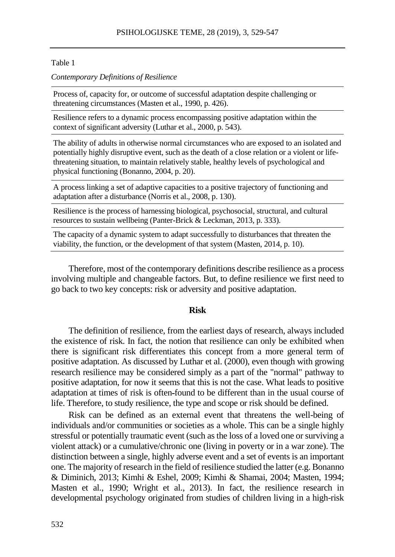#### Table 1

#### *Contemporary Definitions of Resilience*

Process of, capacity for, or outcome of successful adaptation despite challenging or threatening circumstances (Masten et al., 1990, p. 426).

Resilience refers to a dynamic process encompassing positive adaptation within the context of significant adversity (Luthar et al., 2000, p. 543).

The ability of adults in otherwise normal circumstances who are exposed to an isolated and potentially highly disruptive event, such as the death of a close relation or a violent or lifethreatening situation, to maintain relatively stable, healthy levels of psychological and physical functioning (Bonanno, 2004, p. 20).

A process linking a set of adaptive capacities to a positive trajectory of functioning and adaptation after a disturbance (Norris et al., 2008, p. 130).

Resilience is the process of harnessing biological, psychosocial, structural, and cultural resources to sustain wellbeing (Panter-Brick & Leckman, 2013, p. 333).

The capacity of a dynamic system to adapt successfully to disturbances that threaten the viability, the function, or the development of that system (Masten, 2014, p. 10).

Therefore, most of the contemporary definitions describe resilience as a process involving multiple and changeable factors. But, to define resilience we first need to go back to two key concepts: risk or adversity and positive adaptation.

#### **Risk**

The definition of resilience, from the earliest days of research, always included the existence of risk. In fact, the notion that resilience can only be exhibited when there is significant risk differentiates this concept from a more general term of positive adaptation. As discussed by Luthar et al. (2000), even though with growing research resilience may be considered simply as a part of the "normal" pathway to positive adaptation, for now it seems that this is not the case. What leads to positive adaptation at times of risk is often found to be different than in the usual course of life. Therefore, to study resilience, the type and scope or risk should be defined.

Risk can be defined as an external event that threatens the well-being of individuals and/or communities or societies as a whole. This can be a single highly stressful or potentially traumatic event (such as the loss of a loved one or surviving a violent attack) or a cumulative/chronic one (living in poverty or in a war zone). The distinction between a single, highly adverse event and a set of events is an important one. The majority of research in the field of resilience studied the latter (e.g. Bonanno & Diminich, 2013; Kimhi & Eshel, 2009; Kimhi & Shamai, 2004; Masten, 1994; Masten et al., 1990; Wright et al., 2013). In fact, the resilience research in developmental psychology originated from studies of children living in a high-risk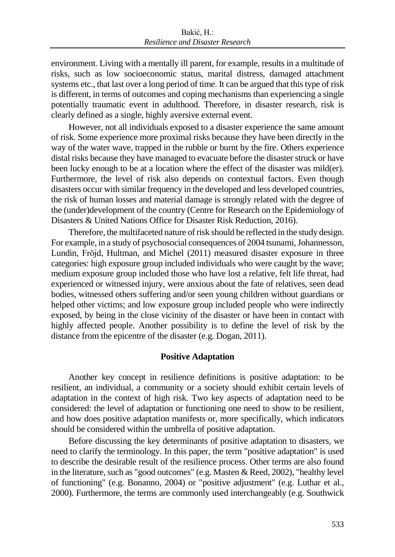environment. Living with a mentally ill parent, for example, results in a multitude of risks, such as low socioeconomic status, marital distress, damaged attachment systems etc., that last over a long period of time. It can be argued that this type of risk is different, in terms of outcomes and coping mechanisms than experiencing a single potentially traumatic event in adulthood. Therefore, in disaster research, risk is clearly defined as a single, highly aversive external event.

However, not all individuals exposed to a disaster experience the same amount of risk. Some experience more proximal risks because they have been directly in the way of the water wave, trapped in the rubble or burnt by the fire. Others experience distal risks because they have managed to evacuate before the disaster struck or have been lucky enough to be at a location where the effect of the disaster was mild(er). Furthermore, the level of risk also depends on contextual factors. Even though disasters occur with similar frequency in the developed and less developed countries, the risk of human losses and material damage is strongly related with the degree of the (under)development of the country (Centre for Research on the Epidemiology of Disasters & United Nations Office for Disaster Risk Reduction, 2016).

Therefore, the multifaceted nature of risk should be reflected in the study design. For example, in a study of psychosocial consequences of 2004 tsunami, Johannesson, Lundin, Fröjd, Hultman, and Michel (2011) measured disaster exposure in three categories: high exposure group included individuals who were caught by the wave; medium exposure group included those who have lost a relative, felt life threat, had experienced or witnessed injury, were anxious about the fate of relatives, seen dead bodies, witnessed others suffering and/or seen young children without guardians or helped other victims; and low exposure group included people who were indirectly exposed, by being in the close vicinity of the disaster or have been in contact with highly affected people. Another possibility is to define the level of risk by the distance from the epicentre of the disaster (e.g. Dogan, 2011).

### **Positive Adaptation**

Another key concept in resilience definitions is positive adaptation: to be resilient, an individual, a community or a society should exhibit certain levels of adaptation in the context of high risk. Two key aspects of adaptation need to be considered: the level of adaptation or functioning one need to show to be resilient, and how does positive adaptation manifests or, more specifically, which indicators should be considered within the umbrella of positive adaptation.

Before discussing the key determinants of positive adaptation to disasters, we need to clarify the terminology. In this paper, the term "positive adaptation" is used to describe the desirable result of the resilience process. Other terms are also found in the literature, such as "good outcomes" (e.g. Masten & Reed, 2002), "healthy level of functioning" (e.g. Bonanno, 2004) or "positive adjustment" (e.g. Luthar et al., 2000). Furthermore, the terms are commonly used interchangeably (e.g. Southwick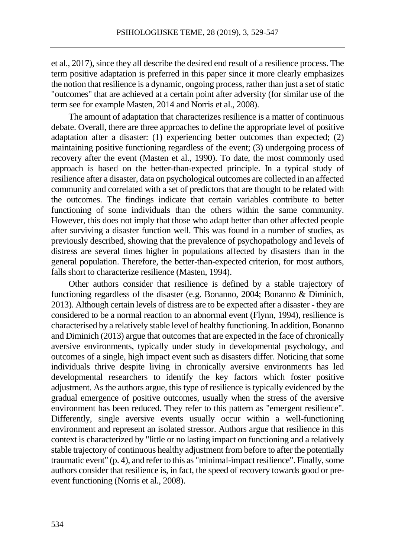et al., 2017), since they all describe the desired end result of a resilience process. The term positive adaptation is preferred in this paper since it more clearly emphasizes the notion that resilience is a dynamic, ongoing process, rather than just a set of static "outcomes" that are achieved at a certain point after adversity (for similar use of the term see for example Masten, 2014 and Norris et al., 2008).

The amount of adaptation that characterizes resilience is a matter of continuous debate. Overall, there are three approaches to define the appropriate level of positive adaptation after a disaster: (1) experiencing better outcomes than expected; (2) maintaining positive functioning regardless of the event; (3) undergoing process of recovery after the event (Masten et al., 1990). To date, the most commonly used approach is based on the better-than-expected principle. In a typical study of resilience after a disaster, data on psychological outcomes are collected in an affected community and correlated with a set of predictors that are thought to be related with the outcomes. The findings indicate that certain variables contribute to better functioning of some individuals than the others within the same community. However, this does not imply that those who adapt better than other affected people after surviving a disaster function well. This was found in a number of studies, as previously described, showing that the prevalence of psychopathology and levels of distress are several times higher in populations affected by disasters than in the general population. Therefore, the better-than-expected criterion, for most authors, falls short to characterize resilience (Masten, 1994).

Other authors consider that resilience is defined by a stable trajectory of functioning regardless of the disaster (e.g. Bonanno, 2004; Bonanno & Diminich, 2013). Although certain levels of distress are to be expected after a disaster - they are considered to be a normal reaction to an abnormal event (Flynn, 1994), resilience is characterised by a relatively stable level of healthy functioning. In addition, Bonanno and Diminich (2013) argue that outcomes that are expected in the face of chronically aversive environments, typically under study in developmental psychology, and outcomes of a single, high impact event such as disasters differ. Noticing that some individuals thrive despite living in chronically aversive environments has led developmental researchers to identify the key factors which foster positive adjustment. As the authors argue, this type of resilience is typically evidenced by the gradual emergence of positive outcomes, usually when the stress of the aversive environment has been reduced. They refer to this pattern as "emergent resilience". Differently, single aversive events usually occur within a well-functioning environment and represent an isolated stressor. Authors argue that resilience in this context is characterized by "little or no lasting impact on functioning and a relatively stable trajectory of continuous healthy adjustment from before to after the potentially traumatic event" (p. 4), and refer to this as "minimal-impact resilience". Finally, some authors consider that resilience is, in fact, the speed of recovery towards good or preevent functioning (Norris et al., 2008).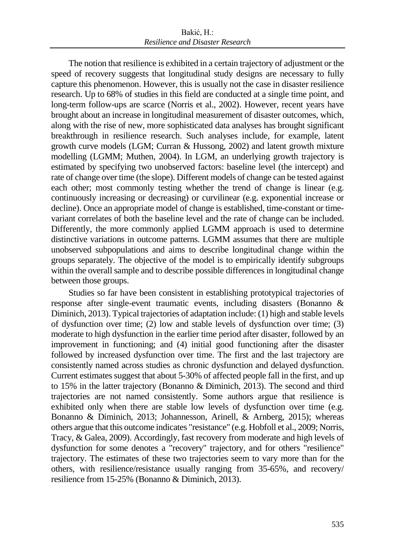The notion that resilience is exhibited in a certain trajectory of adjustment or the speed of recovery suggests that longitudinal study designs are necessary to fully capture this phenomenon. However, this is usually not the case in disaster resilience research. Up to 68% of studies in this field are conducted at a single time point, and long-term follow-ups are scarce (Norris et al., 2002). However, recent years have brought about an increase in longitudinal measurement of disaster outcomes, which, along with the rise of new, more sophisticated data analyses has brought significant breakthrough in resilience research. Such analyses include, for example, latent growth curve models (LGM; Curran & Hussong, 2002) and latent growth mixture modelling (LGMM; Muthen, 2004). In LGM, an underlying growth trajectory is estimated by specifying two unobserved factors: baseline level (the intercept) and rate of change over time (the slope). Different models of change can be tested against each other; most commonly testing whether the trend of change is linear (e.g. continuously increasing or decreasing) or curvilinear (e.g. exponential increase or decline). Once an appropriate model of change is established, time-constant or timevariant correlates of both the baseline level and the rate of change can be included. Differently, the more commonly applied LGMM approach is used to determine distinctive variations in outcome patterns. LGMM assumes that there are multiple unobserved subpopulations and aims to describe longitudinal change within the groups separately. The objective of the model is to empirically identify subgroups within the overall sample and to describe possible differences in longitudinal change between those groups.

Studies so far have been consistent in establishing prototypical trajectories of response after single-event traumatic events, including disasters (Bonanno & Diminich, 2013). Typical trajectories of adaptation include: (1) high and stable levels of dysfunction over time; (2) low and stable levels of dysfunction over time; (3) moderate to high dysfunction in the earlier time period after disaster, followed by an improvement in functioning; and (4) initial good functioning after the disaster followed by increased dysfunction over time. The first and the last trajectory are consistently named across studies as chronic dysfunction and delayed dysfunction. Current estimates suggest that about 5-30% of affected people fall in the first, and up to 15% in the latter trajectory (Bonanno & Diminich, 2013). The second and third trajectories are not named consistently. Some authors argue that resilience is exhibited only when there are stable low levels of dysfunction over time (e.g. Bonanno & Diminich, 2013; Johannesson, Arinell, & Arnberg, 2015); whereas others argue that this outcome indicates "resistance" (e.g. Hobfoll et al., 2009; Norris, Tracy, & Galea, 2009). Accordingly, fast recovery from moderate and high levels of dysfunction for some denotes a "recovery" trajectory, and for others "resilience" trajectory. The estimates of these two trajectories seem to vary more than for the others, with resilience/resistance usually ranging from 35-65%, and recovery/ resilience from 15-25% (Bonanno & Diminich, 2013).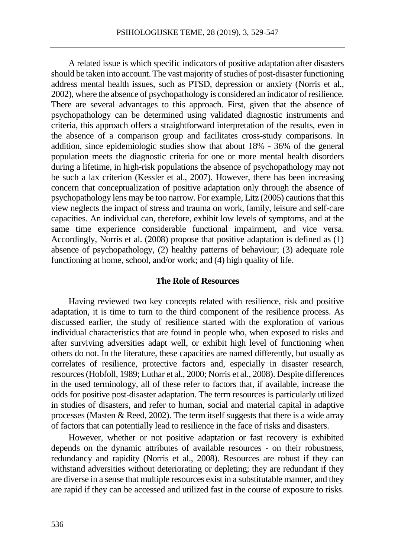A related issue is which specific indicators of positive adaptation after disasters should be taken into account. The vast majority of studies of post-disaster functioning address mental health issues, such as PTSD, depression or anxiety (Norris et al., 2002), where the absence of psychopathology is considered an indicator of resilience. There are several advantages to this approach. First, given that the absence of psychopathology can be determined using validated diagnostic instruments and criteria, this approach offers a straightforward interpretation of the results, even in the absence of a comparison group and facilitates cross-study comparisons. In addition, since epidemiologic studies show that about 18% - 36% of the general population meets the diagnostic criteria for one or more mental health disorders during a lifetime, in high-risk populations the absence of psychopathology may not be such a lax criterion (Kessler et al., 2007). However, there has been increasing concern that conceptualization of positive adaptation only through the absence of psychopathology lens may be too narrow. For example, Litz (2005) cautions that this view neglects the impact of stress and trauma on work, family, leisure and self-care capacities. An individual can, therefore, exhibit low levels of symptoms, and at the same time experience considerable functional impairment, and vice versa. Accordingly, Norris et al. (2008) propose that positive adaptation is defined as (1) absence of psychopathology, (2) healthy patterns of behaviour; (3) adequate role functioning at home, school, and/or work; and (4) high quality of life.

#### **The Role of Resources**

Having reviewed two key concepts related with resilience, risk and positive adaptation, it is time to turn to the third component of the resilience process. As discussed earlier, the study of resilience started with the exploration of various individual characteristics that are found in people who, when exposed to risks and after surviving adversities adapt well, or exhibit high level of functioning when others do not. In the literature, these capacities are named differently, but usually as correlates of resilience, protective factors and, especially in disaster research, resources (Hobfoll, 1989; Luthar et al., 2000; Norris et al., 2008). Despite differences in the used terminology, all of these refer to factors that, if available, increase the odds for positive post-disaster adaptation. The term resources is particularly utilized in studies of disasters, and refer to human, social and material capital in adaptive processes (Masten & Reed, 2002). The term itself suggests that there is a wide array of factors that can potentially lead to resilience in the face of risks and disasters.

However, whether or not positive adaptation or fast recovery is exhibited depends on the dynamic attributes of available resources - on their robustness, redundancy and rapidity (Norris et al., 2008). Resources are robust if they can withstand adversities without deteriorating or depleting; they are redundant if they are diverse in a sense that multiple resources exist in a substitutable manner, and they are rapid if they can be accessed and utilized fast in the course of exposure to risks.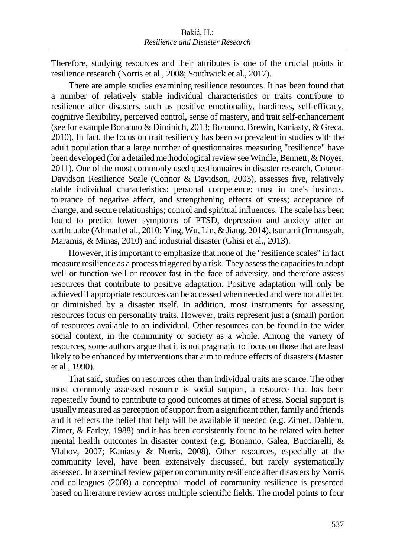Therefore, studying resources and their attributes is one of the crucial points in resilience research (Norris et al., 2008; Southwick et al., 2017).

There are ample studies examining resilience resources. It has been found that a number of relatively stable individual characteristics or traits contribute to resilience after disasters, such as positive emotionality, hardiness, self-efficacy, cognitive flexibility, perceived control, sense of mastery, and trait self-enhancement (see for example Bonanno & Diminich, 2013; Bonanno, Brewin, Kaniasty, & Greca, 2010). In fact, the focus on trait resiliency has been so prevalent in studies with the adult population that a large number of questionnaires measuring "resilience" have been developed (for a detailed methodological review see Windle, Bennett, & Noyes, 2011). One of the most commonly used questionnaires in disaster research, Connor-Davidson Resilience Scale (Connor & Davidson, 2003), assesses five, relatively stable individual characteristics: personal competence; trust in one's instincts, tolerance of negative affect, and strengthening effects of stress; acceptance of change, and secure relationships; control and spiritual influences. The scale has been found to predict lower symptoms of PTSD, depression and anxiety after an earthquake (Ahmad et al., 2010; Ying, Wu, Lin, & Jiang, 2014), tsunami (Irmansyah, Maramis, & Minas, 2010) and industrial disaster (Ghisi et al., 2013).

However, it is important to emphasize that none of the "resilience scales" in fact measure resilience as a process triggered by a risk. They assess the capacitiesto adapt well or function well or recover fast in the face of adversity, and therefore assess resources that contribute to positive adaptation. Positive adaptation will only be achieved if appropriate resources can be accessed when needed and were not affected or diminished by a disaster itself. In addition, most instruments for assessing resources focus on personality traits. However, traits represent just a (small) portion of resources available to an individual. Other resources can be found in the wider social context, in the community or society as a whole. Among the variety of resources, some authors argue that it is not pragmatic to focus on those that are least likely to be enhanced by interventions that aim to reduce effects of disasters (Masten et al., 1990).

That said, studies on resources other than individual traits are scarce. The other most commonly assessed resource is social support, a resource that has been repeatedly found to contribute to good outcomes at times of stress. Social support is usually measured as perception of support from a significant other, family and friends and it reflects the belief that help will be available if needed (e.g. Zimet, Dahlem, Zimet, & Farley, 1988) and it has been consistently found to be related with better mental health outcomes in disaster context (e.g. Bonanno, Galea, Bucciarelli, & Vlahov, 2007; Kaniasty & Norris, 2008). Other resources, especially at the community level, have been extensively discussed, but rarely systematically assessed. In a seminal review paper on community resilience after disasters by Norris and colleagues (2008) a conceptual model of community resilience is presented based on literature review across multiple scientific fields. The model points to four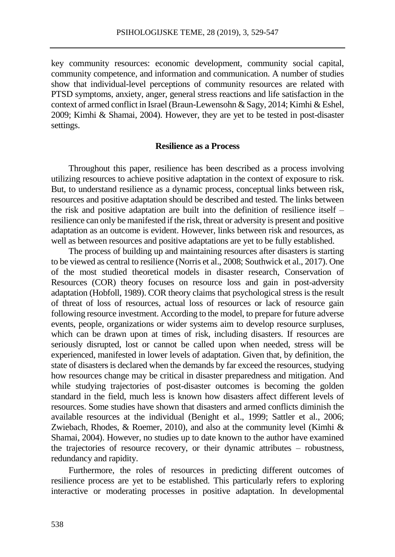key community resources: economic development, community social capital, community competence, and information and communication. A number of studies show that individual-level perceptions of community resources are related with PTSD symptoms, anxiety, anger, general stress reactions and life satisfaction in the context of armed conflict in Israel (Braun-Lewensohn & Sagy, 2014; Kimhi & Eshel, 2009; Kimhi & Shamai, 2004). However, they are yet to be tested in post-disaster settings.

#### **Resilience as a Process**

Throughout this paper, resilience has been described as a process involving utilizing resources to achieve positive adaptation in the context of exposure to risk. But, to understand resilience as a dynamic process, conceptual links between risk, resources and positive adaptation should be described and tested. The links between the risk and positive adaptation are built into the definition of resilience itself – resilience can only be manifested if the risk, threat or adversity is present and positive adaptation as an outcome is evident. However, links between risk and resources, as well as between resources and positive adaptations are yet to be fully established.

The process of building up and maintaining resources after disasters is starting to be viewed as central to resilience (Norris et al., 2008; Southwick et al., 2017). One of the most studied theoretical models in disaster research, Conservation of Resources (COR) theory focuses on resource loss and gain in post-adversity adaptation (Hobfoll, 1989). COR theory claims that psychological stress is the result of threat of loss of resources, actual loss of resources or lack of resource gain following resource investment. According to the model, to prepare for future adverse events, people, organizations or wider systems aim to develop resource surpluses, which can be drawn upon at times of risk, including disasters. If resources are seriously disrupted, lost or cannot be called upon when needed, stress will be experienced, manifested in lower levels of adaptation. Given that, by definition, the state of disasters is declared when the demands by far exceed the resources, studying how resources change may be critical in disaster preparedness and mitigation. And while studying trajectories of post-disaster outcomes is becoming the golden standard in the field, much less is known how disasters affect different levels of resources. Some studies have shown that disasters and armed conflicts diminish the available resources at the individual (Benight et al., 1999; Sattler et al., 2006; Zwiebach, Rhodes, & Roemer, 2010), and also at the community level (Kimhi & Shamai, 2004). However, no studies up to date known to the author have examined the trajectories of resource recovery, or their dynamic attributes – robustness, redundancy and rapidity.

Furthermore, the roles of resources in predicting different outcomes of resilience process are yet to be established. This particularly refers to exploring interactive or moderating processes in positive adaptation. In developmental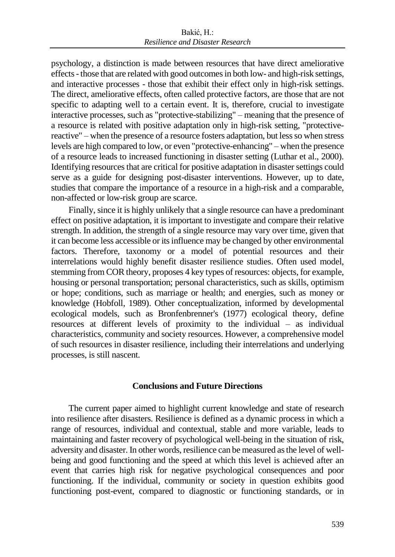psychology, a distinction is made between resources that have direct ameliorative effects-those that are related with good outcomes in both low- and high-risk settings, and interactive processes - those that exhibit their effect only in high-risk settings. The direct, ameliorative effects, often called protective factors, are those that are not specific to adapting well to a certain event. It is, therefore, crucial to investigate interactive processes, such as "protective-stabilizing" – meaning that the presence of a resource is related with positive adaptation only in high-risk setting, "protectivereactive" – when the presence of a resource fosters adaptation, but less so when stress levels are high compared to low, or even "protective-enhancing" – when the presence of a resource leads to increased functioning in disaster setting (Luthar et al., 2000). Identifying resources that are critical for positive adaptation in disaster settings could serve as a guide for designing post-disaster interventions. However, up to date, studies that compare the importance of a resource in a high-risk and a comparable, non-affected or low-risk group are scarce.

Finally, since it is highly unlikely that a single resource can have a predominant effect on positive adaptation, it is important to investigate and compare their relative strength. In addition, the strength of a single resource may vary over time, given that it can become less accessible or its influence may be changed by other environmental factors. Therefore, taxonomy or a model of potential resources and their interrelations would highly benefit disaster resilience studies. Often used model, stemming from COR theory, proposes 4 key types of resources: objects, for example, housing or personal transportation; personal characteristics, such as skills, optimism or hope; conditions, such as marriage or health; and energies, such as money or knowledge (Hobfoll, 1989). Other conceptualization, informed by developmental ecological models, such as Bronfenbrenner's (1977) ecological theory, define resources at different levels of proximity to the individual – as individual characteristics, community and society resources. However, a comprehensive model of such resources in disaster resilience, including their interrelations and underlying processes, is still nascent.

### **Conclusions and Future Directions**

The current paper aimed to highlight current knowledge and state of research into resilience after disasters. Resilience is defined as a dynamic process in which a range of resources, individual and contextual, stable and more variable, leads to maintaining and faster recovery of psychological well-being in the situation of risk, adversity and disaster. In other words, resilience can be measured as the level of wellbeing and good functioning and the speed at which this level is achieved after an event that carries high risk for negative psychological consequences and poor functioning. If the individual, community or society in question exhibits good functioning post-event, compared to diagnostic or functioning standards, or in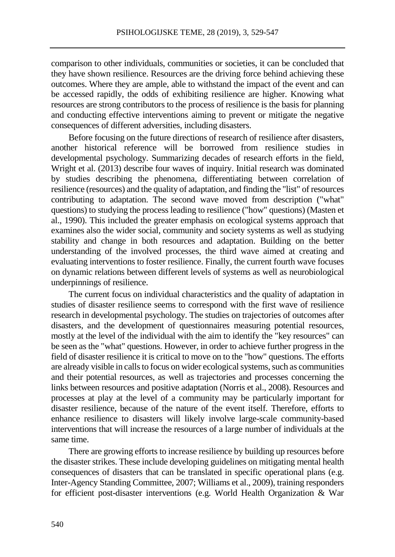comparison to other individuals, communities or societies, it can be concluded that they have shown resilience. Resources are the driving force behind achieving these outcomes. Where they are ample, able to withstand the impact of the event and can be accessed rapidly, the odds of exhibiting resilience are higher. Knowing what resources are strong contributors to the process of resilience is the basis for planning and conducting effective interventions aiming to prevent or mitigate the negative consequences of different adversities, including disasters.

Before focusing on the future directions of research of resilience after disasters, another historical reference will be borrowed from resilience studies in developmental psychology. Summarizing decades of research efforts in the field, Wright et al. (2013) describe four waves of inquiry. Initial research was dominated by studies describing the phenomena, differentiating between correlation of resilience (resources) and the quality of adaptation, and finding the "list" of resources contributing to adaptation. The second wave moved from description ("what" questions) to studying the process leading to resilience ("how" questions) (Masten et al., 1990). This included the greater emphasis on ecological systems approach that examines also the wider social, community and society systems as well as studying stability and change in both resources and adaptation. Building on the better understanding of the involved processes, the third wave aimed at creating and evaluating interventions to foster resilience. Finally, the current fourth wave focuses on dynamic relations between different levels of systems as well as neurobiological underpinnings of resilience.

The current focus on individual characteristics and the quality of adaptation in studies of disaster resilience seems to correspond with the first wave of resilience research in developmental psychology. The studies on trajectories of outcomes after disasters, and the development of questionnaires measuring potential resources, mostly at the level of the individual with the aim to identify the "key resources" can be seen as the "what" questions. However, in order to achieve further progress in the field of disaster resilience it is critical to move on to the "how" questions. The efforts are already visible in calls to focus on wider ecological systems, such as communities and their potential resources, as well as trajectories and processes concerning the links between resources and positive adaptation (Norris et al., 2008). Resources and processes at play at the level of a community may be particularly important for disaster resilience, because of the nature of the event itself. Therefore, efforts to enhance resilience to disasters will likely involve large-scale community-based interventions that will increase the resources of a large number of individuals at the same time.

There are growing efforts to increase resilience by building up resources before the disaster strikes. These include developing guidelines on mitigating mental health consequences of disasters that can be translated in specific operational plans (e.g. Inter-Agency Standing Committee, 2007; Williams et al., 2009), training responders for efficient post-disaster interventions (e.g. World Health Organization & War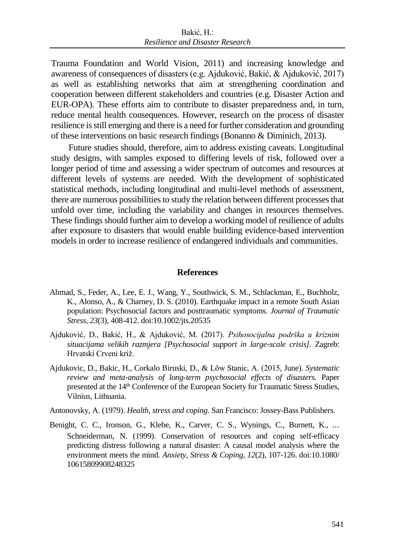Trauma Foundation and World Vision, 2011) and increasing knowledge and awareness of consequences of disasters (e.g. Ajduković, Bakić, & Ajduković, 2017) as well as establishing networks that aim at strengthening coordination and cooperation between different stakeholders and countries (e.g. Disaster Action and EUR-OPA). These efforts aim to contribute to disaster preparedness and, in turn, reduce mental health consequences. However, research on the process of disaster resilience is still emerging and there is a need for further consideration and grounding of these interventions on basic research findings (Bonanno & Diminich, 2013).

Future studies should, therefore, aim to address existing caveats. Longitudinal study designs, with samples exposed to differing levels of risk, followed over a longer period of time and assessing a wider spectrum of outcomes and resources at different levels of systems are needed. With the development of sophisticated statistical methods, including longitudinal and multi-level methods of assessment, there are numerous possibilities to study the relation between different processes that unfold over time, including the variability and changes in resources themselves. These findings should further aim to develop a working model of resilience of adults after exposure to disasters that would enable building evidence-based intervention models in order to increase resilience of endangered individuals and communities.

#### **References**

- Ahmad, S., Feder, A., Lee, E. J., Wang, Y., Southwick, S. M., Schlackman, E., Buchholz, K., Alonso, A., & Charney, D. S. (2010). Earthquake impact in a remote South Asian population: Psychosocial factors and posttraumatic symptoms. *Journal of Traumatic Stress, 23*(3), 408-412. doi:10.1002/jts.20535
- Ajduković, D., Bakić, H., & Ajduković, M. (2017). *Psihosocijalna podrška u kriznim situacijama velikih razmjera [Psychosocial support in large-scale crisis].* Zagreb: Hrvatski Crveni križ.
- Ajdukovic, D., Bakic, H., Corkalo Biruski, D., & Löw Stanic, A. (2015, June). *Systematic review and meta-analysis of long-term psychosocial effects of disasters.* Paper presented at the 14<sup>th</sup> Conference of the European Society for Traumatic Stress Studies, Vilnius, Lithuania.

Antonovsky, A. (1979). *Health, stress and coping*. San Francisco: Jossey-Bass Publishers.

Benight, C. C., Ironson, G., Klebe, K., Carver, C. S., Wynings, C., Burnett, K., ⋯ Schneiderman, N. (1999). Conservation of resources and coping self-efficacy predicting distress following a natural disaster: A causal model analysis where the environment meets the mind. *Anxiety, Stress & Coping, 12*(2), 107-126. doi:10.1080/ 10615809908248325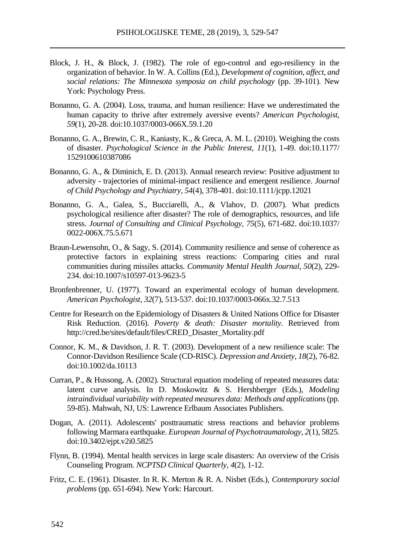- Block, J. H., & Block, J. (1982). The role of ego-control and ego-resiliency in the organization of behavior. In W. A. Collins (Ed.), *Development of cognition, affect, and social relations: The Minnesota symposia on child psychology* (pp. 39-101). New York: Psychology Press.
- Bonanno, G. A. (2004). Loss, trauma, and human resilience: Have we underestimated the human capacity to thrive after extremely aversive events? *American Psychologist, 59*(1), 20-28. doi:10.1037/0003-066X.59.1.20
- Bonanno, G. A., Brewin, C. R., Kaniasty, K., & Greca, A. M. L. (2010). Weighing the costs of disaster. *Psychological Science in the Public Interest, 11*(1), 1-49. doi:10.1177/ 1529100610387086
- Bonanno, G. A., & Diminich, E. D. (2013). Annual research review: Positive adjustment to adversity - trajectories of minimal-impact resilience and emergent resilience. *Journal of Child Psychology and Psychiatry, 54*(4), 378-401. doi:10.1111/jcpp.12021
- Bonanno, G. A., Galea, S., Bucciarelli, A., & Vlahov, D. (2007). What predicts psychological resilience after disaster? The role of demographics, resources, and life stress. *Journal of Consulting and Clinical Psychology, 75*(5), 671-682. doi:10.1037/ 0022-006X.75.5.671
- Braun-Lewensohn, O., & Sagy, S. (2014). Community resilience and sense of coherence as protective factors in explaining stress reactions: Comparing cities and rural communities during missiles attacks. *Community Mental Health Journal, 50*(2), 229- 234. doi:10.1007/s10597-013-9623-5
- Bronfenbrenner, U. (1977). Toward an experimental ecology of human development. *American Psychologist, 32*(7), 513-537. doi:10.1037/0003-066x.32.7.513
- Centre for Research on the Epidemiology of Disasters & United Nations Office for Disaster Risk Reduction. (2016). *Poverty & death: Disaster mortality*. Retrieved from http://cred.be/sites/default/files/CRED\_Disaster\_Mortality.pdf
- Connor, K. M., & Davidson, J. R. T. (2003). Development of a new resilience scale: The Connor-Davidson Resilience Scale (CD-RISC). *Depression and Anxiety, 18*(2), 76-82. doi:10.1002/da.10113
- Curran, P., & Hussong, A. (2002). Structural equation modeling of repeated measures data: latent curve analysis. In D. Moskowitz & S. Hershberger (Eds.), *Modeling intraindividual variability with repeated measures data: Methods and applications* (pp. 59-85). Mahwah, NJ, US: Lawrence Erlbaum Associates Publishers.
- Dogan, A. (2011). Adolescents' posttraumatic stress reactions and behavior problems following Marmara earthquake. *European Journal of Psychotraumatology, 2*(1), 5825. doi:10.3402/ejpt.v2i0.5825
- Flynn, B. (1994). Mental health services in large scale disasters: An overview of the Crisis Counseling Program. *NCPTSD Clinical Quarterly*, *4*(2), 1-12.
- Fritz, C. E. (1961). Disaster. In R. K. Merton & R. A. Nisbet (Eds.), *Contemporary social problems* (pp. 651-694). New York: Harcourt.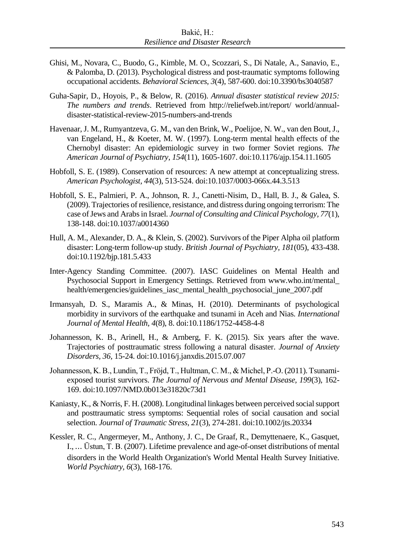- Ghisi, M., Novara, C., Buodo, G., Kimble, M. O., Scozzari, S., Di Natale, A., Sanavio, E., & Palomba, D. (2013). Psychological distress and post-traumatic symptoms following occupational accidents. *Behavioral Sciences, 3*(4), 587-600. doi:10.3390/bs3040587
- Guha-Sapir, D., Hoyois, P., & Below, R. (2016). *Annual disaster statistical review 2015: The numbers and trends*. Retrieved from http://reliefweb.int/report/ world/annualdisaster-statistical-review-2015-numbers-and-trends
- Havenaar, J. M., Rumyantzeva, G. M., van den Brink, W., Poelijoe, N. W., van den Bout, J., van Engeland, H., & Koeter, M. W. (1997). Long-term mental health effects of the Chernobyl disaster: An epidemiologic survey in two former Soviet regions. *The American Journal of Psychiatry, 154*(11), 1605-1607. doi:10.1176/ajp.154.11.1605
- Hobfoll, S. E. (1989). Conservation of resources: A new attempt at conceptualizing stress. *American Psychologist, 44*(3), 513-524. doi:10.1037/0003-066x.44.3.513
- Hobfoll, S. E., Palmieri, P. A., Johnson, R. J., Canetti-Nisim, D., Hall, B. J., & Galea, S. (2009). Trajectories of resilience, resistance, and distress during ongoing terrorism: The case of Jews and Arabs in Israel. *Journal of Consulting and Clinical Psychology, 77*(1), 138-148. doi:10.1037/a0014360
- Hull, A. M., Alexander, D. A., & Klein, S. (2002). Survivors of the Piper Alpha oil platform disaster: Long-term follow-up study. *British Journal of Psychiatry, 181*(05), 433-438. doi:10.1192/bjp.181.5.433
- Inter-Agency Standing Committee. (2007). IASC Guidelines on Mental Health and Psychosocial Support in Emergency Settings. Retrieved from www.who.int/mental\_ health/emergencies/guidelines\_iasc\_mental\_health\_psychosocial\_june\_2007.pdf
- Irmansyah, D. S., Maramis A., & Minas, H. (2010). Determinants of psychological morbidity in survivors of the earthquake and tsunami in Aceh and Nias. *International Journal of Mental Health, 4*(8), 8. doi:10.1186/1752-4458-4-8
- Johannesson, K. B., Arinell, H., & Arnberg, F. K. (2015). Six years after the wave. Trajectories of posttraumatic stress following a natural disaster. *Journal of Anxiety Disorders, 36,* 15-24. doi:10.1016/j.janxdis.2015.07.007
- Johannesson, K. B., Lundin, T., Fröjd, T., Hultman, C. M., & Michel, P.-O. (2011). Tsunamiexposed tourist survivors. *The Journal of Nervous and Mental Disease, 199*(3), 162- 169. doi:10.1097/NMD.0b013e31820c73d1
- Kaniasty, K., & Norris, F. H. (2008). Longitudinal linkages between perceived social support and posttraumatic stress symptoms: Sequential roles of social causation and social selection. *Journal of Traumatic Stress, 21*(3), 274-281. doi:10.1002/jts.20334
- Kessler, R. C., Angermeyer, M., Anthony, J. C., De Graaf, R., Demyttenaere, K., Gasquet, I., ⋯ Üstun, T. B. (2007). Lifetime prevalence and age-of-onset distributions of mental disorders in the World Health Organization's World Mental Health Survey Initiative. *World Psychiatry, 6*(3), 168-176.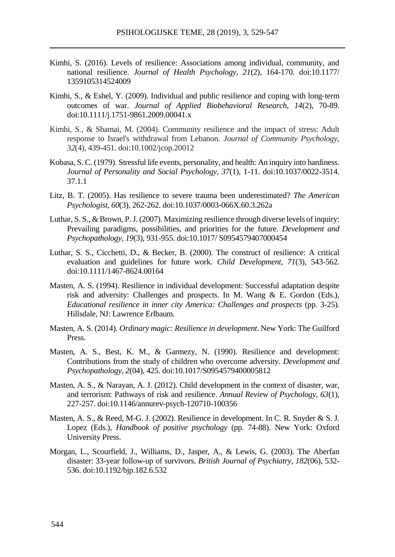- Kimhi, S. (2016). Levels of resilience: Associations among individual, community, and national resilience. *Journal of Health Psychology, 21*(2), 164-170. doi:10.1177/ 1359105314524009
- Kimhi, S., & Eshel, Y. (2009). Individual and public resilience and coping with long‐term outcomes of war. *Journal of Applied Biobehavioral Research, 14*(2), 70-89. doi:10.1111/j.1751-9861.2009.00041.x
- Kimhi, S., & Shamai, M. (2004). Community resilience and the impact of stress: Adult response to Israel's withdrawal from Lebanon. *Journal of Community Psychology*, *32*(4), 439-451. doi:10.1002/jcop.20012
- Kobasa, S. C. (1979). Stressful life events, personality, and health: An inquiry into hardiness. *Journal of Personality and Social Psychology, 37*(1), 1-11. doi:10.1037/0022-3514. 37.1.1
- Litz, B. T. (2005). Has resilience to severe trauma been underestimated? *The American Psychologist, 60*(3), 262-262. doi:10.1037/0003-066X.60.3.262a
- Luthar, S. S., & Brown, P. J. (2007). Maximizing resilience through diverse levels of inquiry: Prevailing paradigms, possibilities, and priorities for the future. *Development and Psychopathology, 19*(3), 931-955. doi:10.1017/ S0954579407000454
- Luthar, S. S., Cicchetti, D., & Becker, B. (2000). The construct of resilience: A critical evaluation and guidelines for future work. *Child Development, 71*(3), 543-562. doi:10.1111/1467-8624.00164
- Masten, A. S. (1994). Resilience in individual development: Successful adaptation despite risk and adversity: Challenges and prospects. In M. Wang & E. Gordon (Eds.), *Educational resilience in inner city America: Challenges and prospects* (pp. 3-25). Hillsdale, NJ: Lawrence Erlbaum.
- Masten, A. S. (2014). *Ordinary magic: Resilience in development*. New York: The Guilford Press.
- Masten, A. S., Best, K. M., & Garmezy, N. (1990). Resilience and development: Contributions from the study of children who overcome adversity. *Development and Psychopathology, 2*(04), 425. doi:10.1017/S0954579400005812
- Masten, A. S., & Narayan, A. J. (2012). Child development in the context of disaster, war, and terrorism: Pathways of risk and resilience. *Annual Review of Psychology, 63*(1), 227-257. doi:10.1146/annurev-psych-120710-100356
- Masten, A. S., & Reed, M-G. J. (2002). Resilience in development. In C. R. Snyder & S. J. Lopez (Eds.), *Handbook of positive psychology* (pp. 74-88). New York: Oxford University Press.
- Morgan, L., Scourfield, J., Williams, D., Jasper, A., & Lewis, G. (2003). The Aberfan disaster: 33-year follow-up of survivors. *British Journal of Psychiatry, 182*(06), 532- 536. doi:10.1192/bjp.182.6.532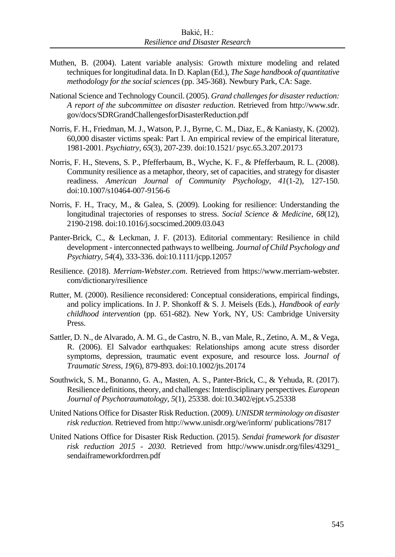- Muthen, B. (2004). Latent variable analysis: Growth mixture modeling and related techniques for longitudinal data. In D. Kaplan (Ed.), *The Sage handbook of quantitative methodology for the social sciences* (pp. 345-368). Newbury Park, CA: Sage.
- National Science and Technology Council. (2005). *Grand challenges for disaster reduction: A report of the subcommittee on disaster reduction*. Retrieved from http://www.sdr. gov/docs/SDRGrandChallengesforDisasterReduction.pdf
- Norris, F. H., Friedman, M. J., Watson, P. J., Byrne, C. M., Diaz, E., & Kaniasty, K. (2002). 60,000 disaster victims speak: Part I. An empirical review of the empirical literature, 1981-2001. *Psychiatry, 65*(3), 207-239. doi:10.1521/ psyc.65.3.207.20173
- Norris, F. H., Stevens, S. P., Pfefferbaum, B., Wyche, K. F., & Pfefferbaum, R. L. (2008). Community resilience as a metaphor, theory, set of capacities, and strategy for disaster readiness. *American Journal of Community Psychology, 41*(1-2), 127-150. doi:10.1007/s10464-007-9156-6
- Norris, F. H., Tracy, M., & Galea, S. (2009). Looking for resilience: Understanding the longitudinal trajectories of responses to stress. *Social Science & Medicine, 68*(12), 2190-2198. doi:10.1016/j.socscimed.2009.03.043
- Panter-Brick, C., & Leckman, J. F. (2013). Editorial commentary: Resilience in child development - interconnected pathways to wellbeing. *Journal of Child Psychology and Psychiatry, 54*(4), 333-336. doi:10.1111/jcpp.12057
- Resilience. (2018). *Merriam-Webster.com*. Retrieved from https://www.merriam-webster. com/dictionary/resilience
- Rutter, M. (2000). Resilience reconsidered: Conceptual considerations, empirical findings, and policy implications. In J. P. Shonkoff & S. J. Meisels (Eds.), *Handbook of early childhood intervention* (pp. 651-682). New York, NY, US: Cambridge University Press.
- Sattler, D. N., de Alvarado, A. M. G., de Castro, N. B., van Male, R., Zetino, A. M., & Vega, R. (2006). El Salvador earthquakes: Relationships among acute stress disorder symptoms, depression, traumatic event exposure, and resource loss. *Journal of Traumatic Stress, 19*(6), 879-893. doi:10.1002/jts.20174
- Southwick, S. M., Bonanno, G. A., Masten, A. S., Panter-Brick, C., & Yehuda, R. (2017). Resilience definitions, theory, and challenges: Interdisciplinary perspectives. *European Journal of Psychotraumatology, 5*(1), 25338. doi:10.3402/ejpt.v5.25338
- United Nations Office for Disaster Risk Reduction. (2009). *UNISDR terminology on disaster risk reduction*. Retrieved from http://www.unisdr.org/we/inform/ publications/7817
- United Nations Office for Disaster Risk Reduction. (2015). *Sendai framework for disaster risk reduction 2015 - 2030*. Retrieved from http://www.unisdr.org/files/43291\_ sendaiframeworkfordrren.pdf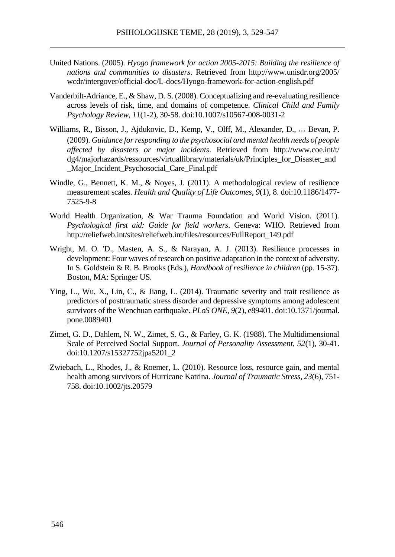- United Nations. (2005). *Hyogo framework for action 2005-2015: Building the resilience of nations and communities to disasters*. Retrieved from http://www.unisdr.org/2005/ wcdr/intergover/official-doc/L-docs/Hyogo-framework-for-action-english.pdf
- Vanderbilt-Adriance, E., & Shaw, D. S. (2008). Conceptualizing and re-evaluating resilience across levels of risk, time, and domains of competence. *Clinical Child and Family Psychology Review, 11*(1-2), 30-58. doi:10.1007/s10567-008-0031-2
- Williams, R., Bisson, J., Ajdukovic, D., Kemp, V., Olff, M., Alexander, D., ⋯ Bevan, P. (2009). *Guidance for responding to the psychosocial and mental health needs of people affected by disasters or major incidents*. Retrieved from http://www.coe.int/t/ dg4/majorhazards/ressources/virtuallibrary/materials/uk/Principles\_for\_Disaster\_and \_Major\_Incident\_Psychosocial\_Care\_Final.pdf
- Windle, G., Bennett, K. M., & Noyes, J. (2011). A methodological review of resilience measurement scales. *Health and Quality of Life Outcomes, 9*(1)*,* 8. doi:10.1186/1477- 7525-9-8
- World Health Organization, & War Trauma Foundation and World Vision. (2011). *Psychological first aid: Guide for field workers*. Geneva: WHO. Retrieved from http://reliefweb.int/sites/reliefweb.int/files/resources/FullReport\_149.pdf
- Wright, M. O. 'D., Masten, A. S., & Narayan, A. J. (2013). Resilience processes in development: Four waves of research on positive adaptation in the context of adversity. In S. Goldstein & R. B. Brooks (Eds.), *Handbook of resilience in children* (pp. 15-37). Boston, MA: Springer US.
- Ying, L., Wu, X., Lin, C., & Jiang, L. (2014). Traumatic severity and trait resilience as predictors of posttraumatic stress disorder and depressive symptoms among adolescent survivors of the Wenchuan earthquake. *PLoS ONE, 9*(2), e89401. doi:10.1371/journal. pone.0089401
- Zimet, G. D., Dahlem, N. W., Zimet, S. G., & Farley, G. K. (1988). The Multidimensional Scale of Perceived Social Support. *Journal of Personality Assessment, 52*(1), 30-41. doi:10.1207/s15327752jpa5201\_2
- Zwiebach, L., Rhodes, J., & Roemer, L. (2010). Resource loss, resource gain, and mental health among survivors of Hurricane Katrina. *Journal of Traumatic Stress, 23*(6), 751- 758. doi:10.1002/jts.20579